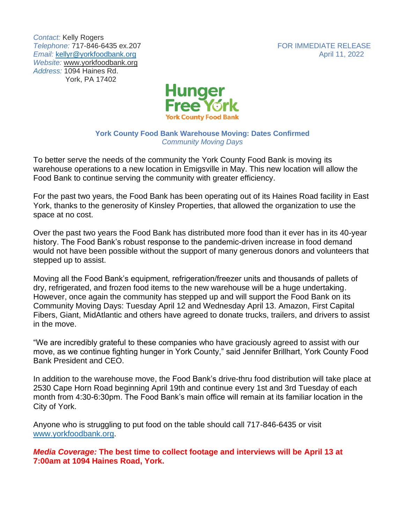*Contact:* Kelly Rogers **Telephone: 717-846-6435 ex.207** FOR IMMEDIATE RELEASE *Email:* [kellyr@yorkfoodbank.org](mailto:kellyr@yorkfoodbank.org) April 11, 2022 *Website:* [www.yorkfoodbank.org](http://www.yorkfoodbank.org/) *Address:* 1094 Haines Rd. York, PA 17402



## **York County Food Bank Warehouse Moving: Dates Confirmed** *Community Moving Days*

To better serve the needs of the community the York County Food Bank is moving its warehouse operations to a new location in Emigsville in May. This new location will allow the Food Bank to continue serving the community with greater efficiency.

For the past two years, the Food Bank has been operating out of its Haines Road facility in East York, thanks to the generosity of Kinsley Properties, that allowed the organization to use the space at no cost.

Over the past two years the Food Bank has distributed more food than it ever has in its 40-year history. The Food Bank's robust response to the pandemic-driven increase in food demand would not have been possible without the support of many generous donors and volunteers that stepped up to assist.

Moving all the Food Bank's equipment, refrigeration/freezer units and thousands of pallets of dry, refrigerated, and frozen food items to the new warehouse will be a huge undertaking. However, once again the community has stepped up and will support the Food Bank on its Community Moving Days: Tuesday April 12 and Wednesday April 13. Amazon, First Capital Fibers, Giant, MidAtlantic and others have agreed to donate trucks, trailers, and drivers to assist in the move.

"We are incredibly grateful to these companies who have graciously agreed to assist with our move, as we continue fighting hunger in York County," said Jennifer Brillhart, York County Food Bank President and CEO.

In addition to the warehouse move, the Food Bank's drive-thru food distribution will take place at 2530 Cape Horn Road beginning April 19th and continue every 1st and 3rd Tuesday of each month from 4:30-6:30pm. The Food Bank's main office will remain at its familiar location in the City of York.

Anyone who is struggling to put food on the table should call 717-846-6435 or visit [www.yorkfoodbank.org.](http://www.yorkfoodbank.org/)

*Media Coverage:* **The best time to collect footage and interviews will be April 13 at 7:00am at 1094 Haines Road, York.**